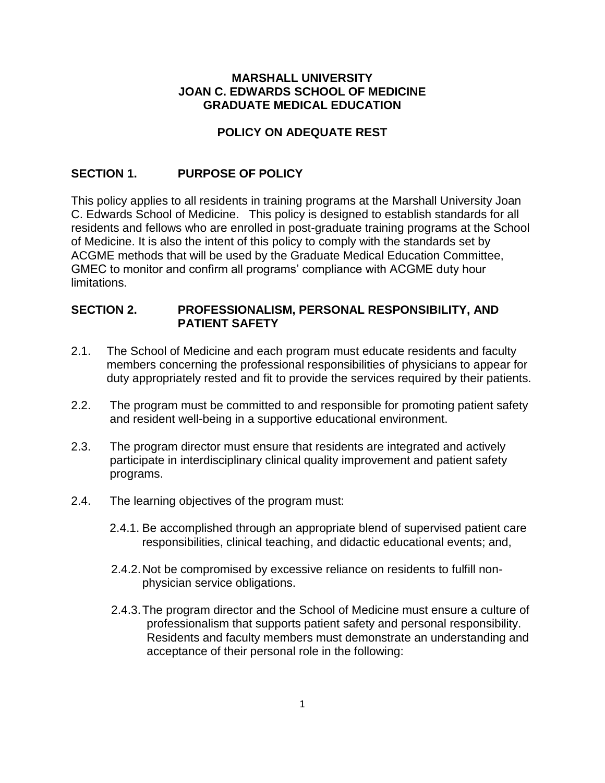### **MARSHALL UNIVERSITY JOAN C. EDWARDS SCHOOL OF MEDICINE GRADUATE MEDICAL EDUCATION**

## **POLICY ON ADEQUATE REST**

# **SECTION 1. PURPOSE OF POLICY**

This policy applies to all residents in training programs at the Marshall University Joan C. Edwards School of Medicine. This policy is designed to establish standards for all residents and fellows who are enrolled in post-graduate training programs at the School of Medicine. It is also the intent of this policy to comply with the standards set by ACGME methods that will be used by the Graduate Medical Education Committee, GMEC to monitor and confirm all programs' compliance with ACGME duty hour limitations.

#### **SECTION 2. PROFESSIONALISM, PERSONAL RESPONSIBILITY, AND PATIENT SAFETY**

- 2.1. The School of Medicine and each program must educate residents and faculty members concerning the professional responsibilities of physicians to appear for duty appropriately rested and fit to provide the services required by their patients.
- 2.2. The program must be committed to and responsible for promoting patient safety and resident well-being in a supportive educational environment.
- 2.3. The program director must ensure that residents are integrated and actively participate in interdisciplinary clinical quality improvement and patient safety programs.
- 2.4. The learning objectives of the program must:
	- 2.4.1. Be accomplished through an appropriate blend of supervised patient care responsibilities, clinical teaching, and didactic educational events; and,
	- 2.4.2.Not be compromised by excessive reliance on residents to fulfill nonphysician service obligations.
	- 2.4.3.The program director and the School of Medicine must ensure a culture of professionalism that supports patient safety and personal responsibility. Residents and faculty members must demonstrate an understanding and acceptance of their personal role in the following: